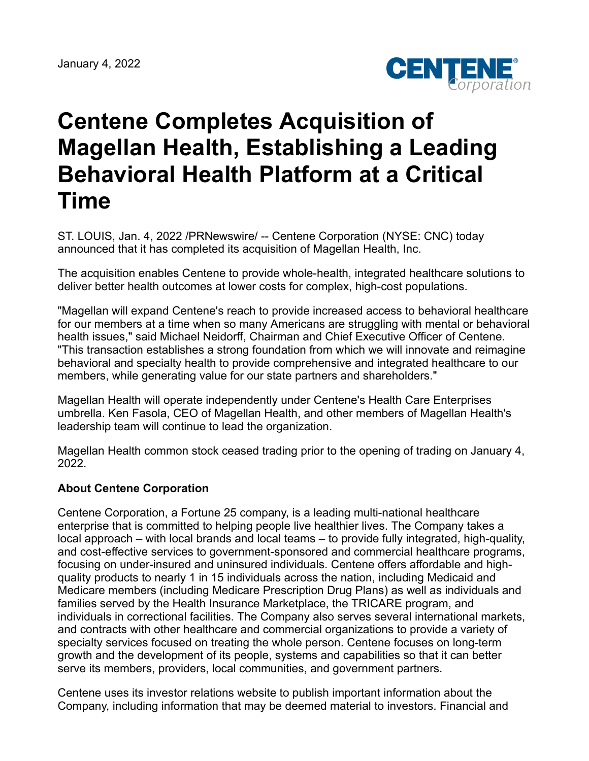

## **Centene Completes Acquisition of Magellan Health, Establishing a Leading Behavioral Health Platform at a Critical Time**

ST. LOUIS, Jan. 4, 2022 /PRNewswire/ -- Centene Corporation (NYSE: CNC) today announced that it has completed its acquisition of Magellan Health, Inc.

The acquisition enables Centene to provide whole-health, integrated healthcare solutions to deliver better health outcomes at lower costs for complex, high-cost populations.

"Magellan will expand Centene's reach to provide increased access to behavioral healthcare for our members at a time when so many Americans are struggling with mental or behavioral health issues," said Michael Neidorff, Chairman and Chief Executive Officer of Centene. "This transaction establishes a strong foundation from which we will innovate and reimagine behavioral and specialty health to provide comprehensive and integrated healthcare to our members, while generating value for our state partners and shareholders."

Magellan Health will operate independently under Centene's Health Care Enterprises umbrella. Ken Fasola, CEO of Magellan Health, and other members of Magellan Health's leadership team will continue to lead the organization.

Magellan Health common stock ceased trading prior to the opening of trading on January 4, 2022.

## **About Centene Corporation**

Centene Corporation, a Fortune 25 company, is a leading multi-national healthcare enterprise that is committed to helping people live healthier lives. The Company takes a local approach – with local brands and local teams – to provide fully integrated, high-quality, and cost-effective services to government-sponsored and commercial healthcare programs, focusing on under-insured and uninsured individuals. Centene offers affordable and highquality products to nearly 1 in 15 individuals across the nation, including Medicaid and Medicare members (including Medicare Prescription Drug Plans) as well as individuals and families served by the Health Insurance Marketplace, the TRICARE program, and individuals in correctional facilities. The Company also serves several international markets, and contracts with other healthcare and commercial organizations to provide a variety of specialty services focused on treating the whole person. Centene focuses on long-term growth and the development of its people, systems and capabilities so that it can better serve its members, providers, local communities, and government partners.

Centene uses its investor relations website to publish important information about the Company, including information that may be deemed material to investors. Financial and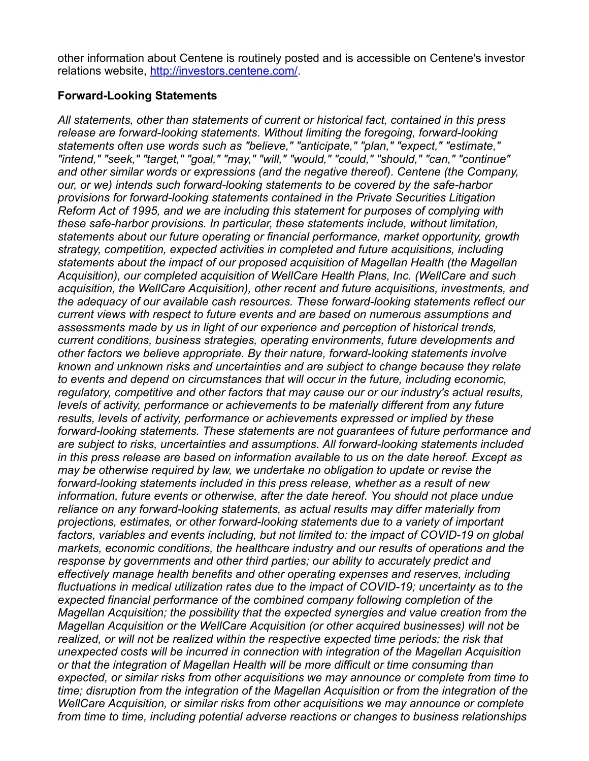other information about Centene is routinely posted and is accessible on Centene's investor relations website, [http://investors.centene.com/.](http://investors.centene.com/)

## **Forward-Looking Statements**

*All statements, other than statements of current or historical fact, contained in this press release are forward-looking statements. Without limiting the foregoing, forward-looking statements often use words such as "believe," "anticipate," "plan," "expect," "estimate," "intend," "seek," "target," "goal," "may," "will," "would," "could," "should," "can," "continue" and other similar words or expressions (and the negative thereof). Centene (the Company, our, or we) intends such forward-looking statements to be covered by the safe-harbor provisions for forward-looking statements contained in the Private Securities Litigation Reform Act of 1995, and we are including this statement for purposes of complying with these safe-harbor provisions. In particular, these statements include, without limitation, statements about our future operating or financial performance, market opportunity, growth strategy, competition, expected activities in completed and future acquisitions, including statements about the impact of our proposed acquisition of Magellan Health (the Magellan Acquisition), our completed acquisition of WellCare Health Plans, Inc. (WellCare and such acquisition, the WellCare Acquisition), other recent and future acquisitions, investments, and the adequacy of our available cash resources. These forward-looking statements reflect our current views with respect to future events and are based on numerous assumptions and assessments made by us in light of our experience and perception of historical trends, current conditions, business strategies, operating environments, future developments and other factors we believe appropriate. By their nature, forward-looking statements involve known and unknown risks and uncertainties and are subject to change because they relate to events and depend on circumstances that will occur in the future, including economic, regulatory, competitive and other factors that may cause our or our industry's actual results, levels of activity, performance or achievements to be materially different from any future results, levels of activity, performance or achievements expressed or implied by these forward-looking statements. These statements are not guarantees of future performance and are subject to risks, uncertainties and assumptions. All forward-looking statements included in this press release are based on information available to us on the date hereof. Except as may be otherwise required by law, we undertake no obligation to update or revise the forward-looking statements included in this press release, whether as a result of new information, future events or otherwise, after the date hereof. You should not place undue reliance on any forward-looking statements, as actual results may differ materially from projections, estimates, or other forward-looking statements due to a variety of important factors, variables and events including, but not limited to: the impact of COVID-19 on global markets, economic conditions, the healthcare industry and our results of operations and the response by governments and other third parties; our ability to accurately predict and effectively manage health benefits and other operating expenses and reserves, including fluctuations in medical utilization rates due to the impact of COVID-19; uncertainty as to the expected financial performance of the combined company following completion of the Magellan Acquisition; the possibility that the expected synergies and value creation from the Magellan Acquisition or the WellCare Acquisition (or other acquired businesses) will not be realized, or will not be realized within the respective expected time periods; the risk that unexpected costs will be incurred in connection with integration of the Magellan Acquisition or that the integration of Magellan Health will be more difficult or time consuming than expected, or similar risks from other acquisitions we may announce or complete from time to time; disruption from the integration of the Magellan Acquisition or from the integration of the WellCare Acquisition, or similar risks from other acquisitions we may announce or complete from time to time, including potential adverse reactions or changes to business relationships*